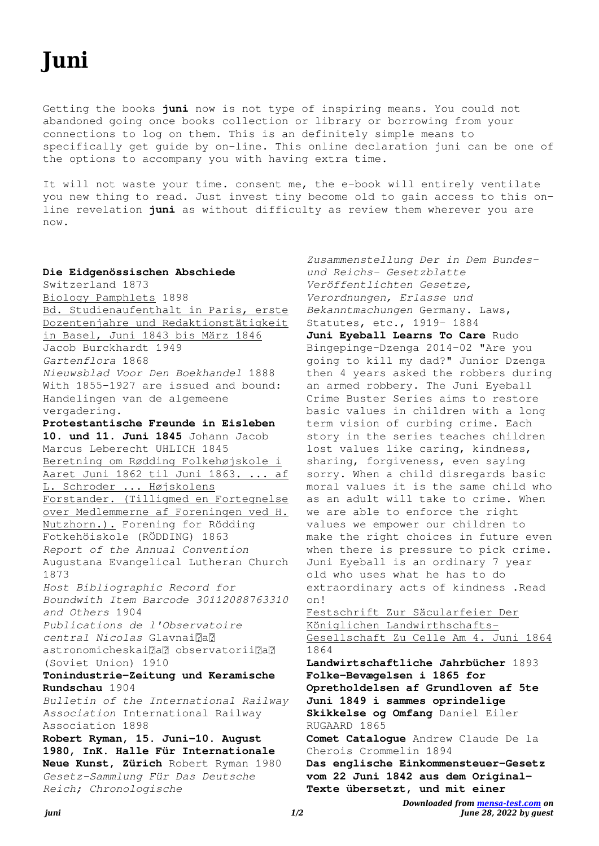Getting the books **juni** now is not type of inspiring means. You could not abandoned going once books collection or library or borrowing from your connections to log on them. This is an definitely simple means to specifically get guide by on-line. This online declaration juni can be one of the options to accompany you with having extra time.

It will not waste your time. consent me, the e-book will entirely ventilate you new thing to read. Just invest tiny become old to gain access to this online revelation **juni** as without difficulty as review them wherever you are now.

## **Die Eidgenössischen Abschiede**

Switzerland 1873 Biology Pamphlets 1898 Bd. Studienaufenthalt in Paris, erste Dozentenjahre und Redaktionstätigkeit in Basel, Juni 1843 bis März 1846 Jacob Burckhardt 1949 *Gartenflora* 1868 *Nieuwsblad Voor Den Boekhandel* 1888 With 1855-1927 are issued and bound: Handelingen van de algemeene vergadering. **Protestantische Freunde in Eisleben 10. und 11. Juni 1845** Johann Jacob Marcus Leberecht UHLICH 1845 Beretning om Rødding Folkehøjskole i Aaret Juni 1862 til Juni 1863. ... af L. Schroder ... Højskolens Forstander. (Tilligmed en Fortegnelse over Medlemmerne af Foreningen ved H. Nutzhorn.). Forening for Rödding Fotkehöiskole (RÖDDING) 1863 *Report of the Annual Convention* Augustana Evangelical Lutheran Church 1873 *Host Bibliographic Record for Boundwith Item Barcode 30112088763310 and Others* 1904 *Publications de l'Observatoire* central Nicolas Glavnai<sup>nan</sup> astronomicheskaiaa observatoriiaa (Soviet Union) 1910 **Tonindustrie-Zeitung und Keramische Rundschau** 1904 *Bulletin of the International Railway Association* International Railway Association 1898 **Robert Ryman, 15. Juni-10. August 1980, InK. Halle Für Internationale Neue Kunst, Zürich** Robert Ryman 1980 *Gesetz-Sammlung Für Das Deutsche*

*Zusammenstellung Der in Dem Bundesund Reichs- Gesetzblatte Veröffentlichten Gesetze, Verordnungen, Erlasse und Bekanntmachungen* Germany. Laws, Statutes, etc., 1919- 1884 **Juni Eyeball Learns To Care** Rudo Bingepinge-Dzenga 2014-02 "Are you going to kill my dad?" Junior Dzenga then 4 years asked the robbers during an armed robbery. The Juni Eyeball Crime Buster Series aims to restore basic values in children with a long term vision of curbing crime. Each story in the series teaches children lost values like caring, kindness, sharing, forgiveness, even saying sorry. When a child disregards basic moral values it is the same child who as an adult will take to crime. When we are able to enforce the right values we empower our children to make the right choices in future even when there is pressure to pick crime. Juni Eyeball is an ordinary 7 year old who uses what he has to do extraordinary acts of kindness .Read on! Festschrift Zur Säcularfeier Der Königlichen Landwirthschafts-Gesellschaft Zu Celle Am 4. Juni 1864 1864 **Landwirtschaftliche Jahrbücher** 1893 **Folke-Bevægelsen i 1865 for Opretholdelsen af Grundloven af 5te Juni 1849 i sammes oprindelige Skikkelse og Omfang** Daniel Eiler RUGAARD 1865 **Comet Catalogue** Andrew Claude De la Cherois Crommelin 1894 **Das englische Einkommensteuer-Gesetz vom 22 Juni 1842 aus dem Original-Texte übersetzt, und mit einer**

*Reich; Chronologische*